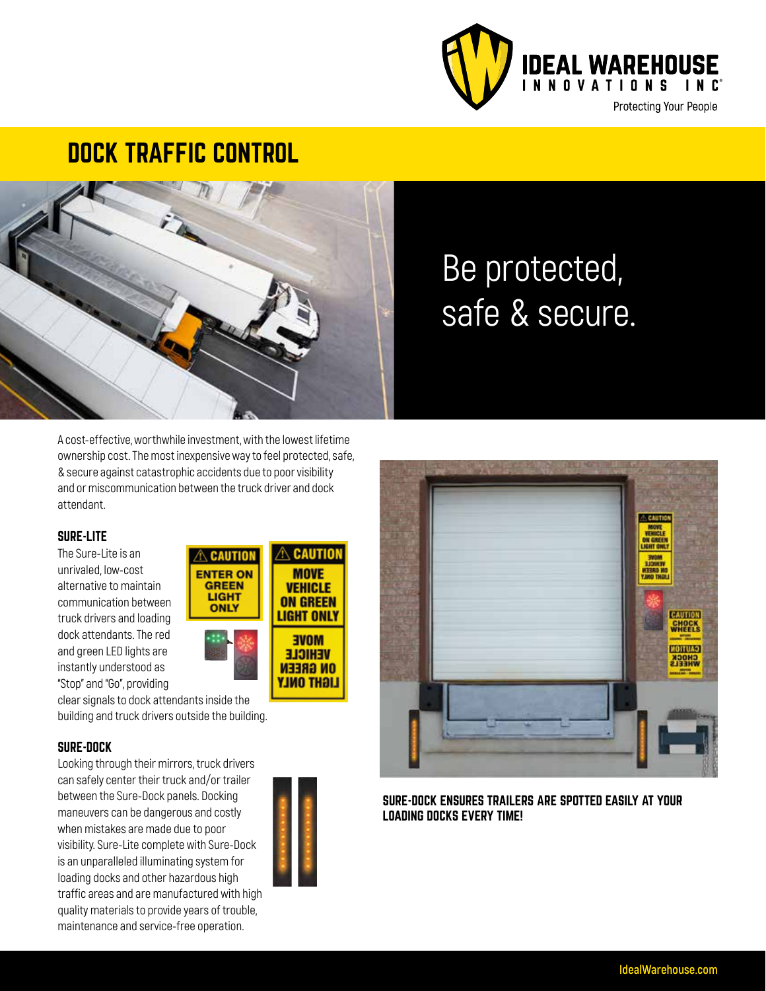

### DOCK TRAFFIC CONTROL



# Be protected, safe & secure.

A cost-effective, worthwhile investment, with the lowest lifetime ownership cost. The most inexpensive way to feel protected, safe, & secure against catastrophic accidents due to poor visibility and or miscommunication between the truck driver and dock attendant.

#### SURE-LITE

The Sure-Lite is an unrivaled, low-cost alternative to maintain communication between truck drivers and loading dock attendants. The red and green LED lights are instantly understood as "Stop" and "Go", providing



clear signals to dock attendants inside the building and truck drivers outside the building.

#### SURE-DOCK

Looking through their mirrors, truck drivers can safely center their truck and/or trailer between the Sure-Dock panels. Docking maneuvers can be dangerous and costly when mistakes are made due to poor visibility. Sure-Lite complete with Sure-Dock is an unparalleled illuminating system for loading docks and other hazardous high traffic areas and are manufactured with high quality materials to provide years of trouble, maintenance and service-free operation.





SURE-DOCK ENSURES TRAILERS ARE SPOTTED EASILY AT YOUR LOADING DOCKS EVERY TIME!